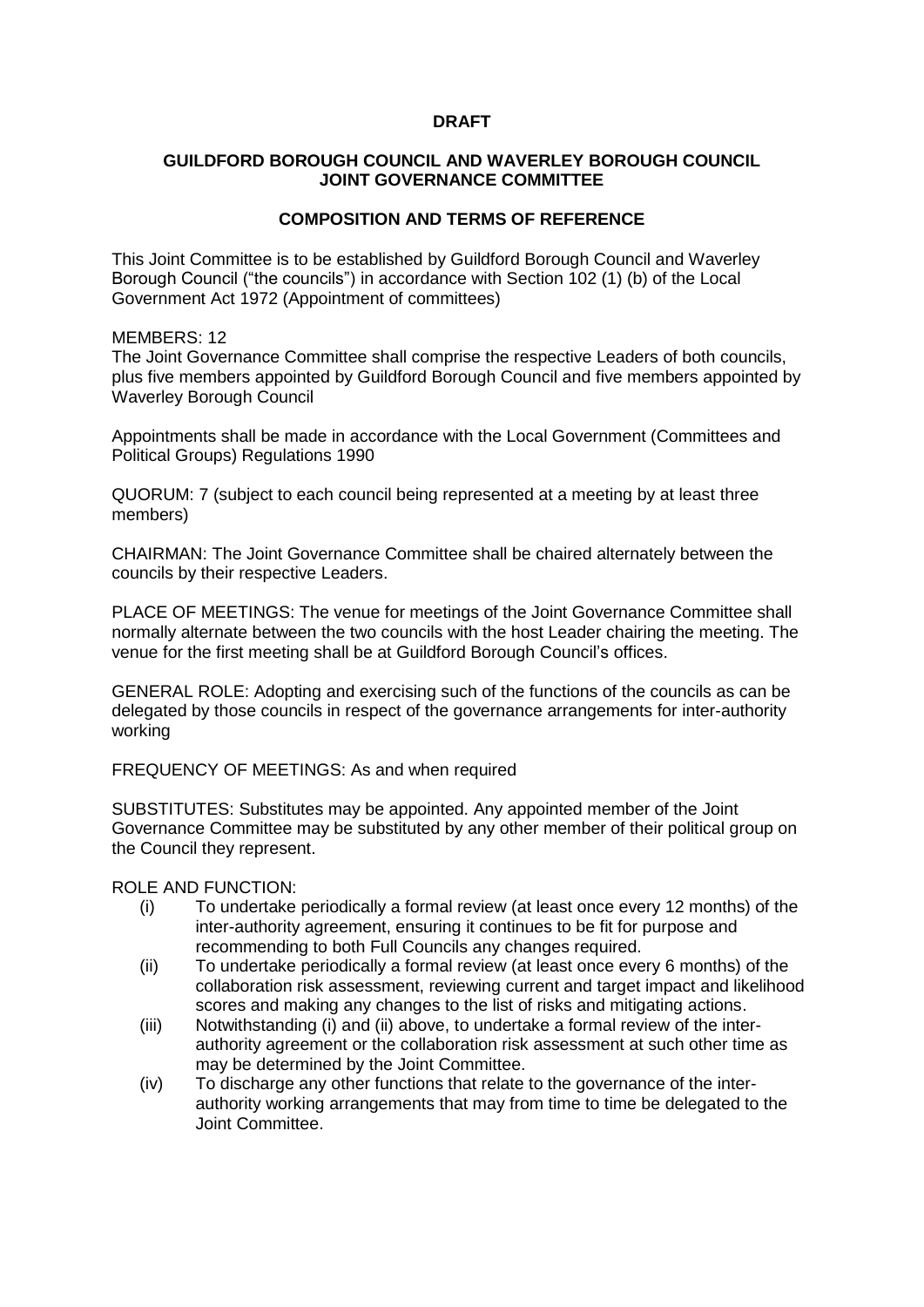## **DRAFT**

## **GUILDFORD BOROUGH COUNCIL AND WAVERLEY BOROUGH COUNCIL JOINT GOVERNANCE COMMITTEE**

# **COMPOSITION AND TERMS OF REFERENCE**

This Joint Committee is to be established by Guildford Borough Council and Waverley Borough Council ("the councils") in accordance with Section 102 (1) (b) of the Local Government Act 1972 (Appointment of committees)

#### MFMBFRS: 12

The Joint Governance Committee shall comprise the respective Leaders of both councils, plus five members appointed by Guildford Borough Council and five members appointed by Waverley Borough Council

Appointments shall be made in accordance with the Local Government (Committees and Political Groups) Regulations 1990

QUORUM: 7 (subject to each council being represented at a meeting by at least three members)

CHAIRMAN: The Joint Governance Committee shall be chaired alternately between the councils by their respective Leaders.

PLACE OF MEETINGS: The venue for meetings of the Joint Governance Committee shall normally alternate between the two councils with the host Leader chairing the meeting. The venue for the first meeting shall be at Guildford Borough Council's offices.

GENERAL ROLE: Adopting and exercising such of the functions of the councils as can be delegated by those councils in respect of the governance arrangements for inter-authority working

FREQUENCY OF MEETINGS: As and when required

SUBSTITUTES: Substitutes may be appointed. Any appointed member of the Joint Governance Committee may be substituted by any other member of their political group on the Council they represent.

## ROLE AND FUNCTION:

- (i) To undertake periodically a formal review (at least once every 12 months) of the inter-authority agreement, ensuring it continues to be fit for purpose and recommending to both Full Councils any changes required.
- (ii) To undertake periodically a formal review (at least once every 6 months) of the collaboration risk assessment, reviewing current and target impact and likelihood scores and making any changes to the list of risks and mitigating actions.
- (iii) Notwithstanding (i) and (ii) above, to undertake a formal review of the interauthority agreement or the collaboration risk assessment at such other time as may be determined by the Joint Committee.
- (iv) To discharge any other functions that relate to the governance of the interauthority working arrangements that may from time to time be delegated to the Joint Committee.